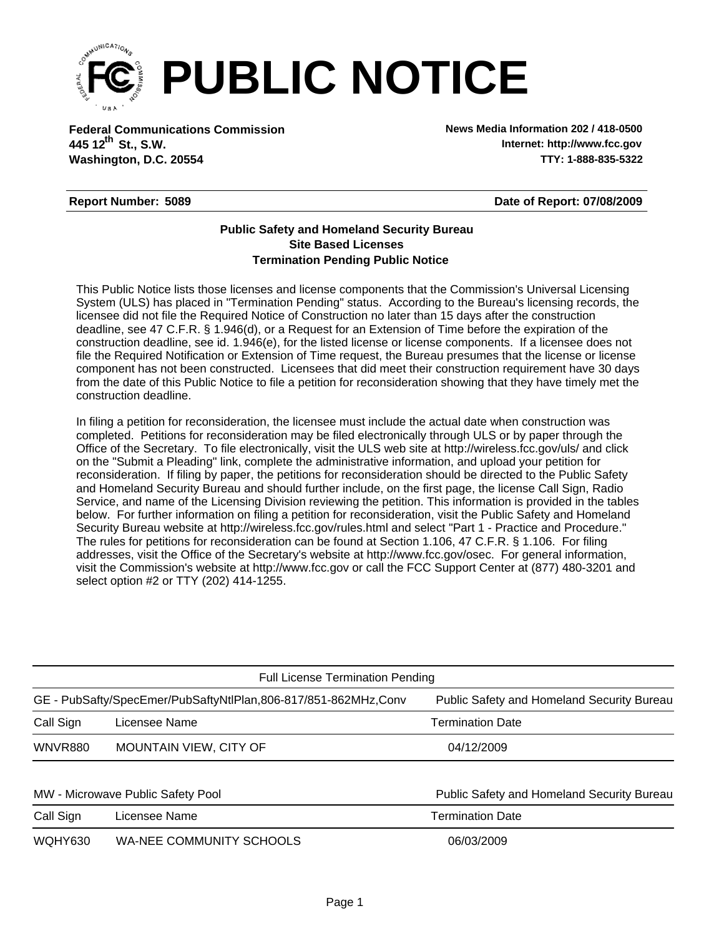

**Federal Communications Commission News Media Information 202 / 418-0500 Washington, D.C. 20554 TTY: 1-888-835-5322 445 12 St., S.W. th**

**Internet: http://www.fcc.gov**

## **Report Number: 5089**

**Date of Report: 07/08/2009**

## **Termination Pending Public Notice Site Based Licenses Public Safety and Homeland Security Bureau**

This Public Notice lists those licenses and license components that the Commission's Universal Licensing System (ULS) has placed in "Termination Pending" status. According to the Bureau's licensing records, the licensee did not file the Required Notice of Construction no later than 15 days after the construction deadline, see 47 C.F.R. § 1.946(d), or a Request for an Extension of Time before the expiration of the construction deadline, see id. 1.946(e), for the listed license or license components. If a licensee does not file the Required Notification or Extension of Time request, the Bureau presumes that the license or license component has not been constructed. Licensees that did meet their construction requirement have 30 days from the date of this Public Notice to file a petition for reconsideration showing that they have timely met the construction deadline.

In filing a petition for reconsideration, the licensee must include the actual date when construction was completed. Petitions for reconsideration may be filed electronically through ULS or by paper through the Office of the Secretary. To file electronically, visit the ULS web site at http://wireless.fcc.gov/uls/ and click on the "Submit a Pleading" link, complete the administrative information, and upload your petition for reconsideration. If filing by paper, the petitions for reconsideration should be directed to the Public Safety and Homeland Security Bureau and should further include, on the first page, the license Call Sign, Radio Service, and name of the Licensing Division reviewing the petition. This information is provided in the tables below. For further information on filing a petition for reconsideration, visit the Public Safety and Homeland Security Bureau website at http://wireless.fcc.gov/rules.html and select "Part 1 - Practice and Procedure." The rules for petitions for reconsideration can be found at Section 1.106, 47 C.F.R. § 1.106. For filing addresses, visit the Office of the Secretary's website at http://www.fcc.gov/osec. For general information, visit the Commission's website at http://www.fcc.gov or call the FCC Support Center at (877) 480-3201 and select option #2 or TTY (202) 414-1255.

| <b>Full License Termination Pending</b> |                                                                |                                                   |  |  |  |  |
|-----------------------------------------|----------------------------------------------------------------|---------------------------------------------------|--|--|--|--|
|                                         | GE - PubSafty/SpecEmer/PubSaftyNtlPlan,806-817/851-862MHz,Conv | <b>Public Safety and Homeland Security Bureau</b> |  |  |  |  |
| Call Sign                               | Licensee Name                                                  | <b>Termination Date</b>                           |  |  |  |  |
| <b>WNVR880</b>                          | MOUNTAIN VIEW, CITY OF                                         | 04/12/2009                                        |  |  |  |  |
|                                         |                                                                |                                                   |  |  |  |  |
| MW - Microwave Public Safety Pool       |                                                                | Public Safety and Homeland Security Bureau        |  |  |  |  |
| Call Sign                               | Licensee Name                                                  | <b>Termination Date</b>                           |  |  |  |  |
| <b>WOHY630</b>                          | WA-NEE COMMUNITY SCHOOLS                                       | 06/03/2009                                        |  |  |  |  |
|                                         |                                                                |                                                   |  |  |  |  |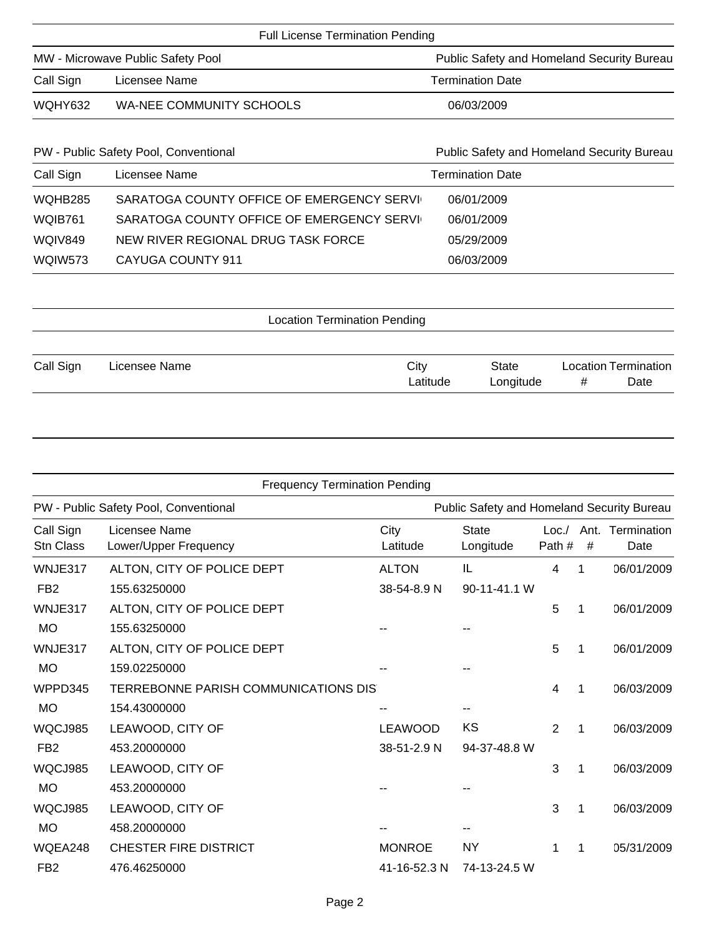| <b>Full License Termination Pending</b> |                          |                                            |  |  |  |
|-----------------------------------------|--------------------------|--------------------------------------------|--|--|--|
| MW - Microwave Public Safety Pool       |                          | Public Safety and Homeland Security Bureau |  |  |  |
| Call Sign                               | Licensee Name            | <b>Termination Date</b>                    |  |  |  |
| WQHY632                                 | WA-NEE COMMUNITY SCHOOLS | 06/03/2009                                 |  |  |  |

| PW - Public Safety Pool, Conventional |                                            | Public Safety and Homeland Security Bureau |  |  |  |  |
|---------------------------------------|--------------------------------------------|--------------------------------------------|--|--|--|--|
| Call Sign                             | Licensee Name                              | <b>Termination Date</b>                    |  |  |  |  |
| WQHB285                               | SARATOGA COUNTY OFFICE OF EMERGENCY SERVIC | 06/01/2009                                 |  |  |  |  |
| WQIB761                               | SARATOGA COUNTY OFFICE OF EMERGENCY SERVIC | 06/01/2009                                 |  |  |  |  |
| WQIV849                               | NEW RIVER REGIONAL DRUG TASK FORCE         | 05/29/2009                                 |  |  |  |  |
| WQIW573                               | CAYUGA COUNTY 911                          | 06/03/2009                                 |  |  |  |  |

| <b>Location Termination Pending</b> |               |  |          |              |                             |      |  |
|-------------------------------------|---------------|--|----------|--------------|-----------------------------|------|--|
|                                     |               |  |          |              |                             |      |  |
| Call Sign                           | Licensee Name |  | City     | <b>State</b> | <b>Location Termination</b> |      |  |
|                                     |               |  | Latitude | Longitude    | #                           | Date |  |

|                               | <b>Frequency Termination Pending</b>                 |                               |                                            |                |   |                          |
|-------------------------------|------------------------------------------------------|-------------------------------|--------------------------------------------|----------------|---|--------------------------|
|                               | PW - Public Safety Pool, Conventional                |                               | Public Safety and Homeland Security Bureau |                |   |                          |
| Call Sign<br><b>Stn Class</b> | Licensee Name<br>Lower/Upper Frequency               | City<br>Latitude              | <b>State</b><br>Longitude                  | Loc.<br>Path#  | # | Ant. Termination<br>Date |
| WNJE317<br>FB <sub>2</sub>    | ALTON, CITY OF POLICE DEPT<br>155.63250000           | <b>ALTON</b><br>38-54-8.9 N   | IL<br>90-11-41.1 W                         | 4              | 1 | 06/01/2009               |
| WNJE317<br><b>MO</b>          | ALTON, CITY OF POLICE DEPT<br>155.63250000           |                               |                                            | 5              | 1 | 06/01/2009               |
| WNJE317<br><b>MO</b>          | ALTON, CITY OF POLICE DEPT<br>159.02250000           |                               |                                            | 5              | 1 | 06/01/2009               |
| WPPD345<br><b>MO</b>          | TERREBONNE PARISH COMMUNICATIONS DIS<br>154.43000000 |                               |                                            | 4              | 1 | 06/03/2009               |
| WQCJ985<br>FB <sub>2</sub>    | LEAWOOD, CITY OF<br>453.20000000                     | <b>LEAWOOD</b><br>38-51-2.9 N | KS<br>94-37-48.8 W                         | $\overline{2}$ | 1 | 06/03/2009               |
| WQCJ985<br><b>MO</b>          | LEAWOOD, CITY OF<br>453.20000000                     |                               |                                            | 3              | 1 | 06/03/2009               |
| WQCJ985<br><b>MO</b>          | LEAWOOD, CITY OF<br>458.20000000                     |                               |                                            | 3              | 1 | 06/03/2009               |
| WQEA248<br>FB <sub>2</sub>    | <b>CHESTER FIRE DISTRICT</b><br>476.46250000         | <b>MONROE</b><br>41-16-52.3 N | <b>NY</b><br>74-13-24.5 W                  | 1              | 1 | 05/31/2009               |